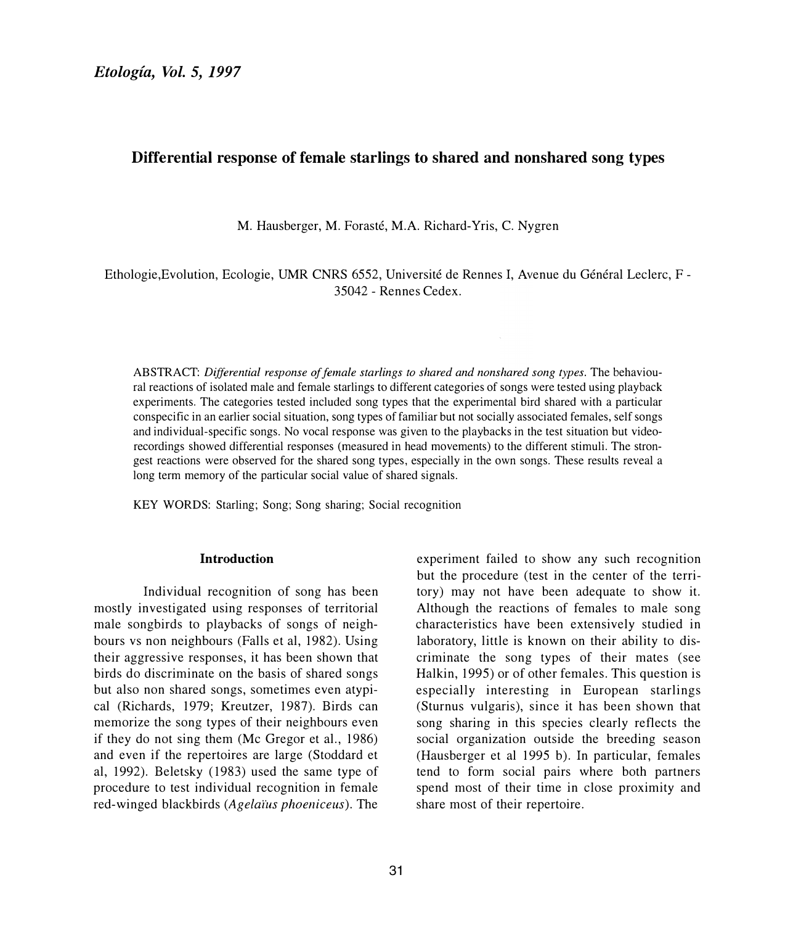# **Differential response of female starlings to shared and nonshared song types**

M. Hausberger, M. Forasté, M.A. Richard-Yris, C. Nygren

Ethologie, Evolution, Ecologie, UMR CNRS 6552, Université de Rennes I, Avenue du Général Leclerc, F -35042 - Rennes Cedex.

ABSTRACT: *Differential response of female starlings to shared and nonshared song types.* The behavioural reactions of isolated male and female starlings to different categories of songs were tested using playback experiments. The categories tested included song types that the experimental bird shared with a particular conspecific in an earlier social situation, song types of familiar but not socially associated females, self songs and individual-specific songs. No vocal response was given to the playbacks in the test situation but videorecordings showed differential responses (measured in head movements) to the different stimuli. The strongest reactions were observed for the shared song types, especially in the own songs. These results reveal a long term memory of the particular social value of shared signals.

KEY WORDS: Starling; Song; Song sharing; Social recognition

### **Introduction**

Individual recognition of song has been mostly investigated using responses of territorial male songbirds to playbacks of songs of neighbours vs non neighbours (Falls et al, 1982). Using their aggressive responses, it has been shown that birds do discriminate on the basis of shared songs but also non shared songs, sometimes even atypical (Richards, 1979; Kreutzer, 1987). Birds can memorize the song types of their neighbours even if they do not sing them (Mc Gregor et al., 1986) and even if the repertoires are large (Stoddard et al, 1992). Beletsky (1983) used the same type of procedure to test individual recognition in female red-winged blackbirds (Agelaius phoeniceus). The experiment failed to show any such recognition but the procedure (test in the center of the territory) may not have been adequate to show it. Although the reactions of females to male song characteristics have been extensively studied in laboratory, little is known on their ability to discriminate the song types of their mates (see Halkin, 1995) or of other females. This question is especially interesting in European starlings (Sturnus vulgaris), since it has been shown that song sharing in this species clearly reflects the social organization outside the breeding season (Hausberger et al 1995 b). In particular, females tend to form social pairs where both partners spend most of their time in close proximity and share most of their repertoire.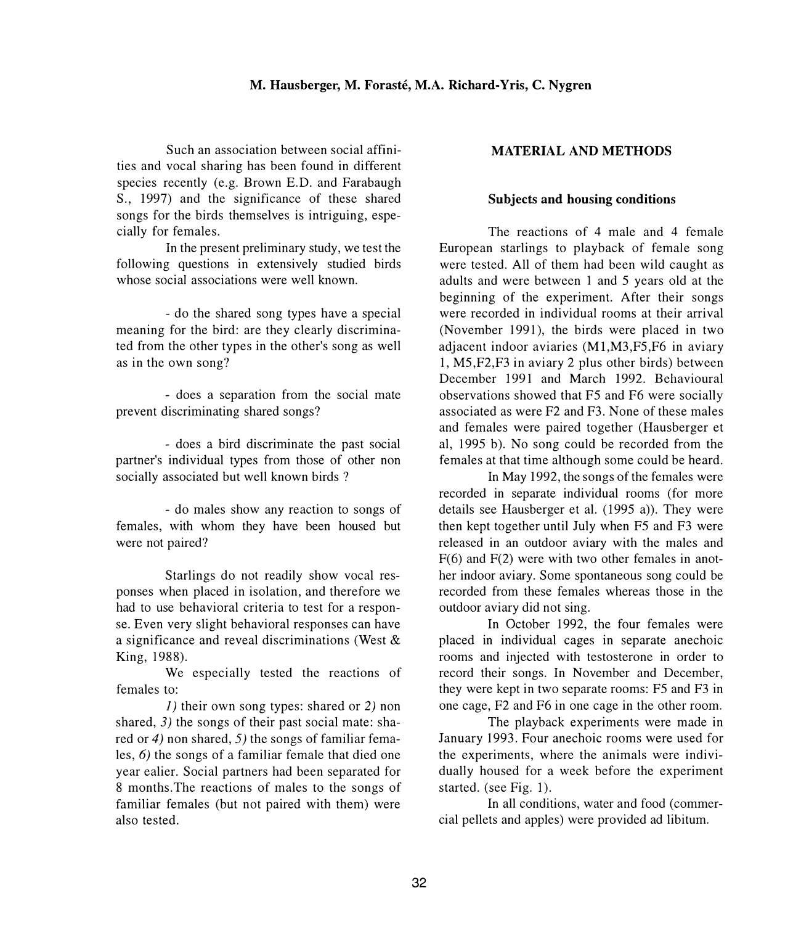Such an association between social affinities and vocal sharing has been found in different species recently (e.g. Brown E.D. and Farabaugh S., 1997) and the significance of these shared songs for the birds themselves is intriguing, especially for females.

In the present preliminary study, we test the following questions in extensively studied birds whose social associations were well known.

- do the shared song types have a special meaning for the bird: are they clearly discriminated from the other types in the other's song as well as in the own song?

- does a separation from the social mate prevent discriminating shared songs?

- does a bird discriminate the past social partner's individual types from those of other non socially associated but well known birds ?

- do males show any reaction to songs of females, with whom they have been housed but were not paired?

Starlings do not readily show vocal responses when placed in isolation, and therefore we had to use behavioral criteria to test for a response. Even very slight behavioral responses can have a significance and reveal discriminations (West & King, 1988).

We especially tested the reactions of females to:

*1)* their own song types: shared or *2)* non shared, 3) the songs of their past social mate: shared or *4)* non shared, *5)* the songs of familiar females, *6)* the songs of a familiar female that died one year ealier. Social partners had been separated for 8 months.The reactions of males to the songs of familiar females (but not paired with them) were also tested.

# **MATERIAL AND METHODS**

# **Subjects and housing conditions**

The reactions of 4 male and 4 female European starlings to playback of female song were tested. All of them had been wild caught as adults and were between I and 5 years old at the beginning of the experiment. After their songs were recorded in individual rooms at their arrival (November 1991), the birds were placed in two adjacent indoor aviaries (Ml,M3,F5,F6 in aviary 1, M5,F2,F3 in aviary 2 plus other birds) between December 1991 and March 1992. Behavioural observations showed that F5 and F6 were socially associated as were F2 and F3. None of these males and females were paired together (Hausberger et al, 1995 b). No song could be recorded from the females at that time although some could be heard.

In May 1992, the songs of the females were recorded in separate individual rooms (for more details see Hausberger et al. (1995 a)). They were then kept together until July when F5 and F3 were released in an outdoor aviary with the males and  $F(6)$  and  $F(2)$  were with two other females in another indoor aviary. Some spontaneous song could be recorded from these females whereas those in the outdoor aviary did not sing.

In October 1992, the four females were placed in individual cages in separate anechoic rooms and injected with testosterone in order to record their songs. In November and December, they were kept in two separate rooms: F5 and F3 in one cage, F2 and F6 in one cage in the other room.

The playback experiments were made in January 1993. Four anechoic rooms were used for the experiments, where the animals were individually housed for a week before the experiment started. (see Fig. 1).

In all conditions, water and food (commercial pellets and apples) were provided ad libitum.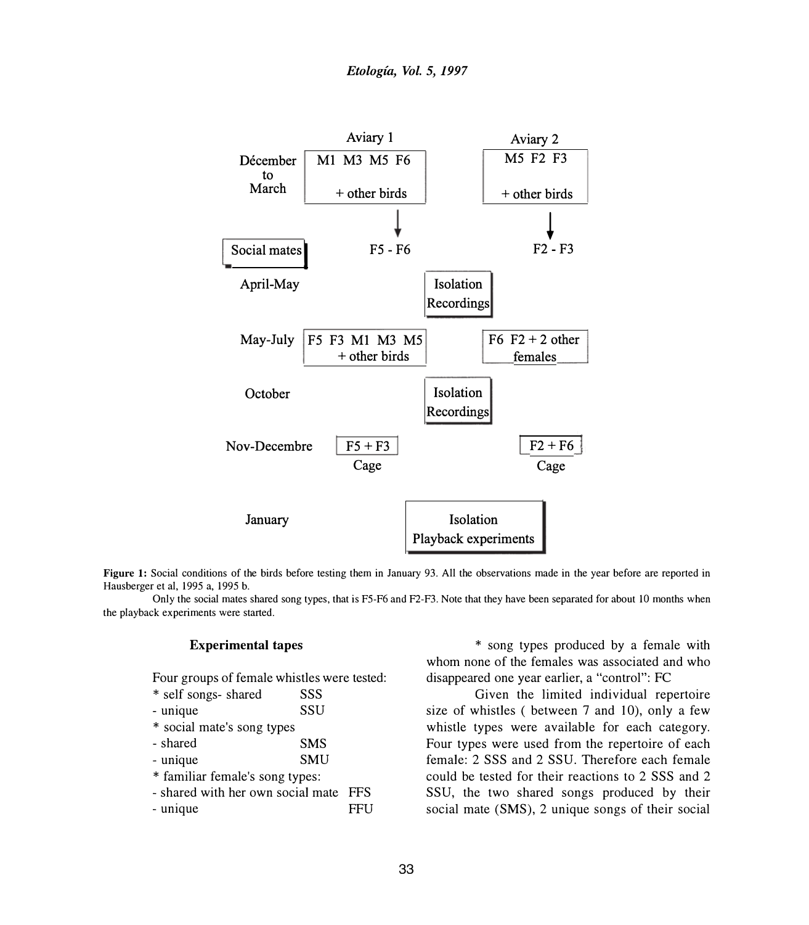

**Figure 1:** Social conditions of the birds before testing them in January 93. All the observations made in the year before are reported in Hausberger et al, 1995 a, 1995 b.

Only the social mates shared song types, that is F5-F6 and F2-F3. Note that they have been separated for about 10 months when the playback experiments were started.

# **Experimental tapes**

Four groups of female whistles were tested:

| * self songs- shared                  | SSS        |            |
|---------------------------------------|------------|------------|
| - unique                              | SSU        |            |
| * social mate's song types            |            |            |
| - shared                              | <b>SMS</b> |            |
| - unique                              | <b>SMU</b> |            |
| * familiar female's song types:       |            |            |
| - shared with her own social mate FFS |            |            |
| - unique                              |            | <b>FFU</b> |
|                                       |            |            |

\* song types produced by a female with whom none of the females was associated and who disappeared one year earlier, a "control": FC

Given the limited individual repertoire size of whistles ( between 7 and 10), only a few whistle types were available for each category. Four types were used from the repertoire of each female: 2 SSS and 2 SSU. Therefore each female could be tested for their reactions to 2 SSS and 2 SSU, the two shared songs produced by their social mate (SMS), 2 unique songs of their social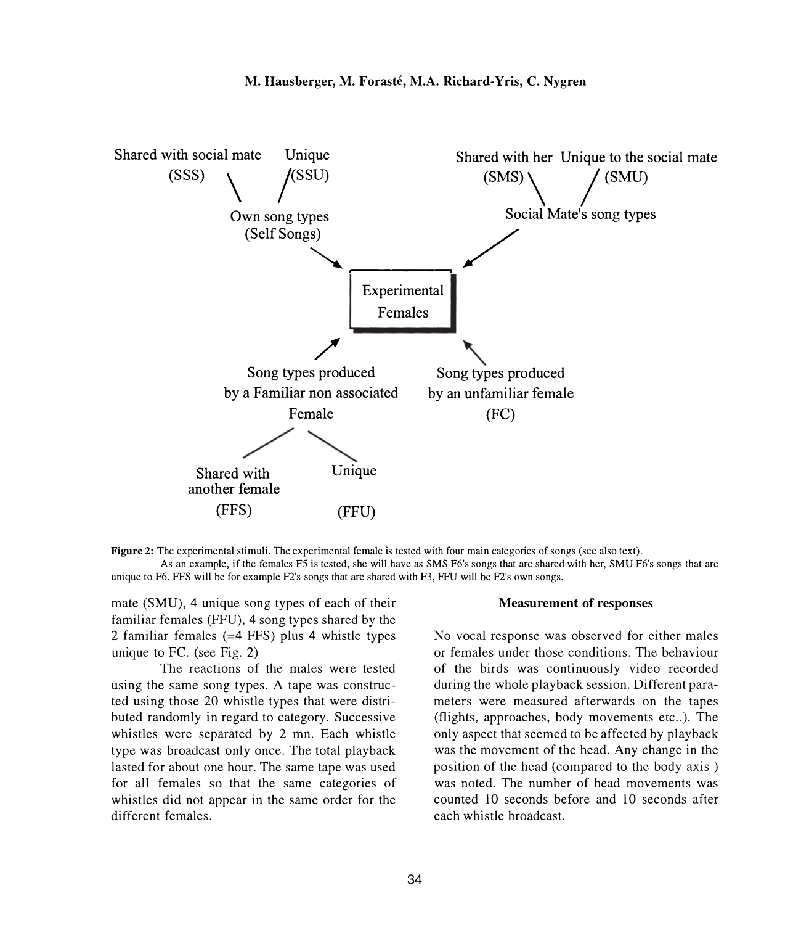

**Figure 2:** The experimental stimuli. The experimental female is tested with four main categories of songs (see also text).

As an example, if the females F5 is tested, she will have as SMS F6's songs that are shared with her, SMU F6's songs that are unique to F6. FFS will be for example F2's songs that are shared with F3, FFU will be F2's own songs.

mate (SMU), 4 unique song types of each of their familiar females (FFU), 4 song types shared by the 2 familiar females (=4 FFS) plus 4 whistle types unique to FC. (see Fig. 2)

The reactions of the males were tested using the same song types. A tape was constructed using those 20 whistle types that were distributed randomly in regard to category. Successive whistles were separated by 2 mn. Each whistle type was broadcast only once. The total playback lasted for about one hour. The same tape was used for all females so that the same categories of whistles did not appear in the same order for the different females.

## **Measurement of responses**

No vocal response was observed for either males or females under those conditions. The behaviour of the birds was continuously video recorded during the whole playback session. Different parameters were measured afterwards on the tapes (flights, approaches, body movements etc..). The only aspect that seemed to be affected by playback was the movement of the head. Any change in the position of the head (compared to the body axis ) was noted. The number of head movements was counted 10 seconds before and 10 seconds after each whistle broadcast.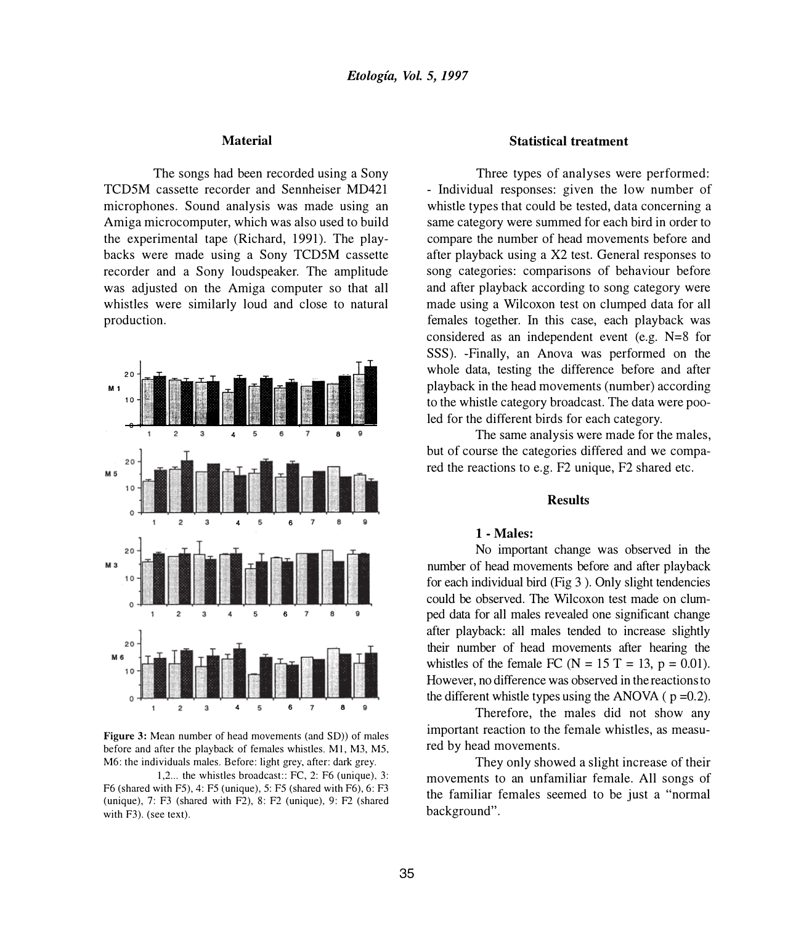### **Material**

The songs had been recorded using a Sony TCD5M cassette recorder and Sennheiser MD421 microphones. Sound analysis was made using an Amiga microcomputer, which was also used to build the experimental tape (Richard, 1991). The playbacks were made using a Sony TCD5M cassette recorder and a Sony loudspeaker. The amplitude was adjusted on the Amiga computer so that all whistles were similarly loud and close to natural production.



**Figure 3:** Mean number of head movements (and SD)) of males before and after the playback of females whistles. MI, M3, M5, M6: the individuals males. Before: light grey, after: dark grey.

1,2... the whistles broadcast:: FC, 2: F6 (unique), 3: F6 (shared with F5), 4: F5 (unique), 5: F5 (shared with F6), 6: F3 (unique), 7: F3 (shared with F2), 8: F2 (unique), 9: F2 (shared with F3). (see text).

# **Statistical treatment**

Three types of analyses were performed: - Individual responses: given the low number of whistle types that could be tested, data concerning a same category were summed for each bird in order to compare the number of head movements before and after playback using a X2 test. General responses to song categories: comparisons of behaviour before and after playback according to song category were made using a Wilcoxon test on clumped data for all females together. In this case, each playback was considered as an independent event (e.g. N=8 for SSS). -Finally, an Anova was performed on the whole data, testing the difference before and after playback in the head movements (number) according to the whistle category broadcast. The data were pooled for the different birds for each category.

The same analysis were made for the males, but of course the categories differed and we compared the reactions to e.g. F2 unique, F2 shared etc.

#### **Results**

#### **1 - Males:**

No important change was observed in the number of head movements before and after playback for each individual bird (Fig 3 ). Only slight tendencies could be observed. The Wilcoxon test made on clumped data for all males revealed one significant change after playback: all males tended to increase slightly their number of head movements after hearing the whistles of the female FC ( $N = 15$  T = 13, p = 0.01). However, no difference was observed in the reactions to the different whistle types using the ANOVA ( $p = 0.2$ ).

Therefore, the males did not show any important reaction to the female whistles, as measured by head movements.

They only showed a slight increase of their movements to an unfamiliar female. All songs of the familiar females seemed to be just a "normal background".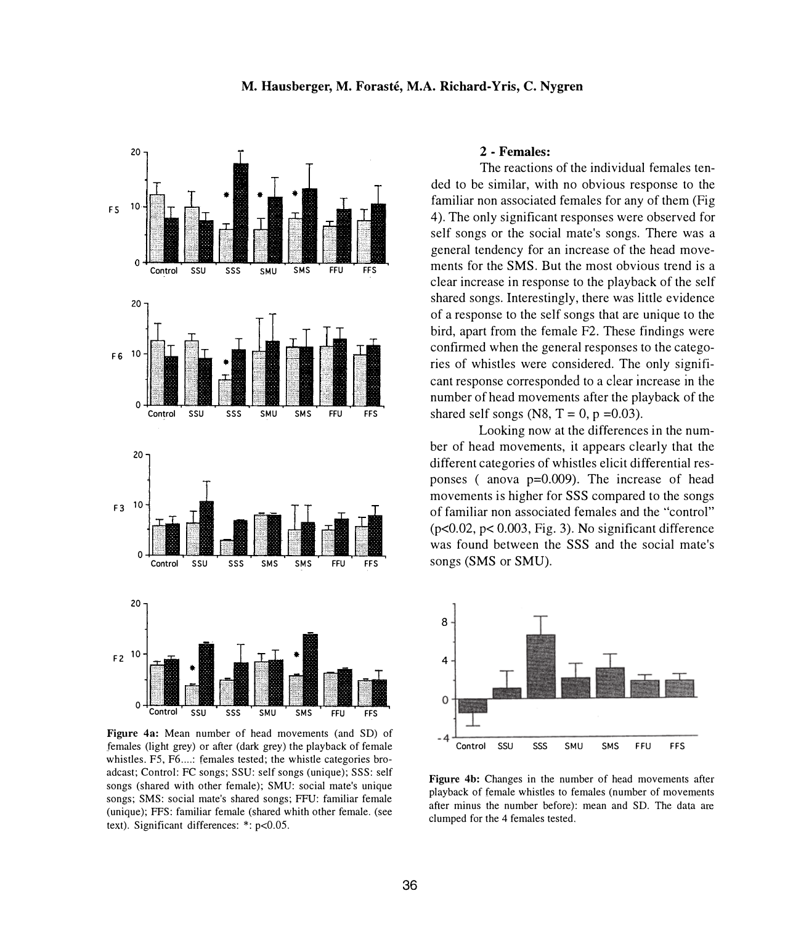## **M. Hausberger, M. Foraste, M.A. Richard-Yris, C. Nygren**



**Figure 4a:** Mean number of head movements (and SD) of females (light grey) or after (dark grey) the playback of female whistles. F5, F6....: females tested; the whistle categories broadcast; Control: FC songs; SSU: self songs (unique); SSS: self songs (shared with other female); SMU: social mate's unique songs; SMS: social mate's shared songs; FFU: familiar female (unique); FFS: familiar female (shared whith other female. (see text). Significant differences: \*: p<0.05.

### **2 - Females:**

The reactions of the individual females tended to be similar, with no obvious response to the familiar non associated females for any of them (Fig 4). The only significant responses were observed for self songs or the social mate's songs. There was a general tendency for an increase of the head movements for the SMS. But the most obvious trend is a clear increase in response to the playback of the self shared songs. Interestingly, there was little evidence of a response to the self songs that are unique to the bird, apart from the female F2. These findings were confirmed when the general responses to the categories of whistles were considered. The only significant response corresponded to a clear increase in the number of head movements after the playback of the shared self songs  $(N8, T = 0, p = 0.03)$ .

Looking now at the differences in the number of head movements, it appears clearly that the different categories of whistles elicit differential responses ( anova p=0.009). The increase of head movements is higher for SSS compared to the songs of familiar non associated females and the ''control"  $(p<0.02, p<0.003, Fig. 3)$ . No significant difference was found between the SSS and the social mate's songs (SMS or SMU).



**Figure 4b:** Changes in the number of head movements after playback of female whistles to females (number of movements after minus the number before): mean and SD. The data are clumped for the 4 females tested.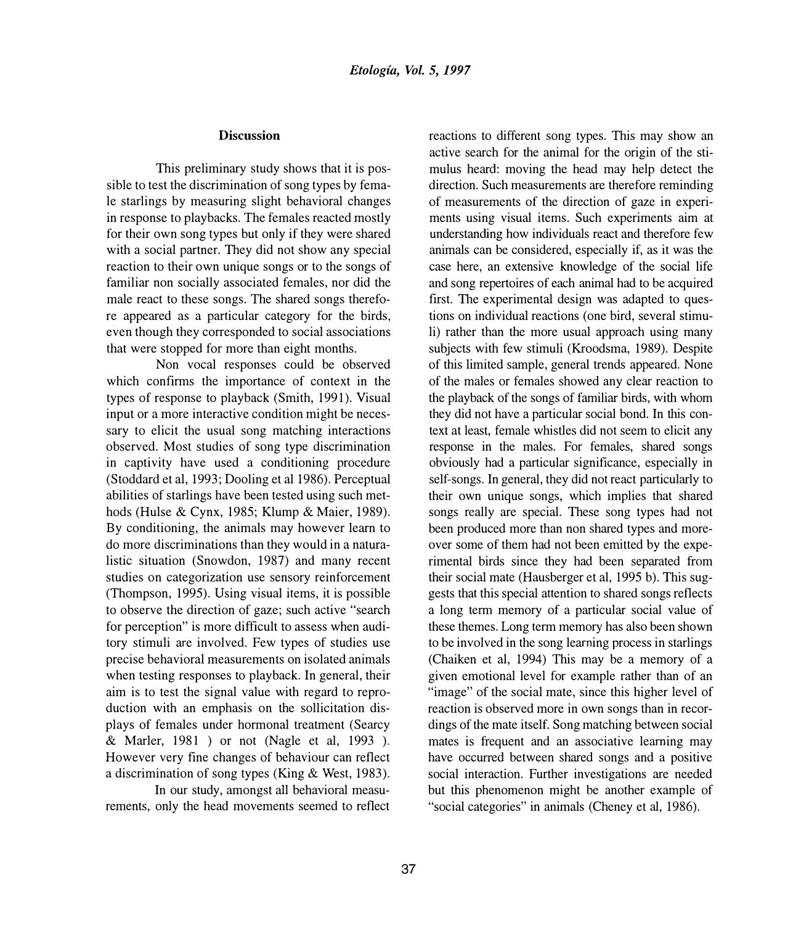## **Discussion**

This preliminary study shows that it is possible to test the discrimination of song types by female starlings by measuring slight behavioral changes in response to playbacks. The females reacted mostly for their own song types but only if they were shared with a social partner. They did not show any special reaction to their own unique songs or to the songs of familiar non socially associated females, nor did the male react to these songs. The shared songs therefore appeared as a particular category for the birds, even though they corresponded to social associations that were stopped for more than eight months.

Non vocal responses could be observed which confirms the importance of context in the types of response to playback (Smith, 1991). Visual input or a more interactive condition might be necessary to elicit the usual song matching interactions observed. Most studies of song type discrimination in captivity have used a conditioning procedure (Stoddard et al, 1993; Dooling et al 1986). Perceptual abilities of starlings have been tested using such methods (Hulse & Cynx, 1985; Klump & Maier, 1989). By conditioning, the animals may however learn to do more discriminations than they would in a naturalistic situation (Snowdon, 1987) and many recent studies on categorization use sensory reinforcement (Thompson, 1995). Using visual items, it is possible to observe the direction of gaze; such active "search for perception" is more difficult to assess when auditory stimuli are involved. Few types of studies use precise behavioral measurements on isolated animals when testing responses to playback. In general, their aim is to test the signal value with regard to reproduction with an emphasis on the sollicitation displays of females under hormonal treatment (Searcy & Marler, 1981 ) or not (Nagle et al, 1993 ). However very fine changes of behaviour can reflect a discrimination of song types (King & West, 1983).

In our study, amongst all behavioral measurements, only the head movements seemed to reflect

reactions to different song types. This may show an active search for the animal for the origin of the stimulus heard: moving the head may help detect the direction. Such measurements are therefore reminding of measurements of the direction of gaze in experiments using visual items. Such experiments aim at understanding how individuals react and therefore few animals can be considered, especially if, as it was the case here, an extensive knowledge of the social life and song repertoires of each animal had to be acquired first. The experimental design was adapted to questions on individual reactions (one bird, several stimuli) rather than the more usual approach using many subjects with few stimuli (Kroodsma, 1989). Despite of this limited sample, general trends appeared. None of the males or females showed any clear reaction to the playback of the songs of familiar birds, with whom they did not have a particular social bond. In this context at least, female whistles did not seem to elicit any response in the males. For females, shared songs obviously had a particular significance, especially in self-songs. In general, they did not react particularly to their own unique songs, which implies that shared songs really are special. These song types had not been produced more than non shared types and moreover some of them had not been emitted by the experimental birds since they had been separated from their social mate (Hausberger et al, 1995 b). This suggests that this special attention to shared songs reflects a long term memory of a particular social value of these themes. Long term memory has also been shown to be involved in the song learning process in starlings (Chaiken et al, 1994) This may be a memory of a given emotional level for example rather than of an "image" of the social mate, since this higher level of reaction is observed more in own songs than in recordings of the mate itself. Song matching between social mates is frequent and an associative learning may have occurred between shared songs and a positive social interaction. Further investigations are needed but this phenomenon might be another example of "social categories" in animals (Cheney et al, 1986).